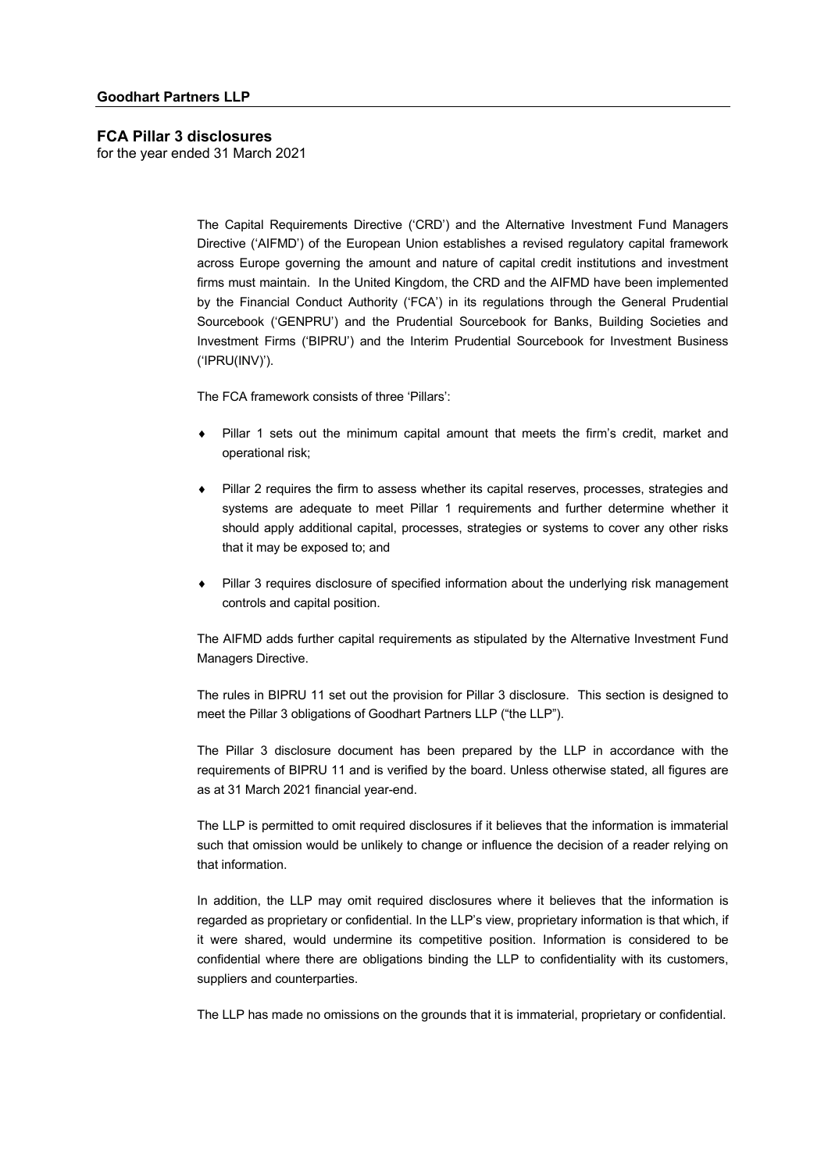for the year ended 31 March 2021

The Capital Requirements Directive ('CRD') and the Alternative Investment Fund Managers Directive ('AIFMD') of the European Union establishes a revised regulatory capital framework across Europe governing the amount and nature of capital credit institutions and investment firms must maintain. In the United Kingdom, the CRD and the AIFMD have been implemented by the Financial Conduct Authority ('FCA') in its regulations through the General Prudential Sourcebook ('GENPRU') and the Prudential Sourcebook for Banks, Building Societies and Investment Firms ('BIPRU') and the Interim Prudential Sourcebook for Investment Business ('IPRU(INV)').

The FCA framework consists of three 'Pillars':

- Pillar 1 sets out the minimum capital amount that meets the firm's credit, market and operational risk;
- Pillar 2 requires the firm to assess whether its capital reserves, processes, strategies and systems are adequate to meet Pillar 1 requirements and further determine whether it should apply additional capital, processes, strategies or systems to cover any other risks that it may be exposed to; and
- Pillar 3 requires disclosure of specified information about the underlying risk management controls and capital position.

The AIFMD adds further capital requirements as stipulated by the Alternative Investment Fund Managers Directive.

The rules in BIPRU 11 set out the provision for Pillar 3 disclosure. This section is designed to meet the Pillar 3 obligations of Goodhart Partners LLP ("the LLP").

The Pillar 3 disclosure document has been prepared by the LLP in accordance with the requirements of BIPRU 11 and is verified by the board. Unless otherwise stated, all figures are as at 31 March 2021 financial year-end.

The LLP is permitted to omit required disclosures if it believes that the information is immaterial such that omission would be unlikely to change or influence the decision of a reader relying on that information.

In addition, the LLP may omit required disclosures where it believes that the information is regarded as proprietary or confidential. In the LLP's view, proprietary information is that which, if it were shared, would undermine its competitive position. Information is considered to be confidential where there are obligations binding the LLP to confidentiality with its customers, suppliers and counterparties.

The LLP has made no omissions on the grounds that it is immaterial, proprietary or confidential.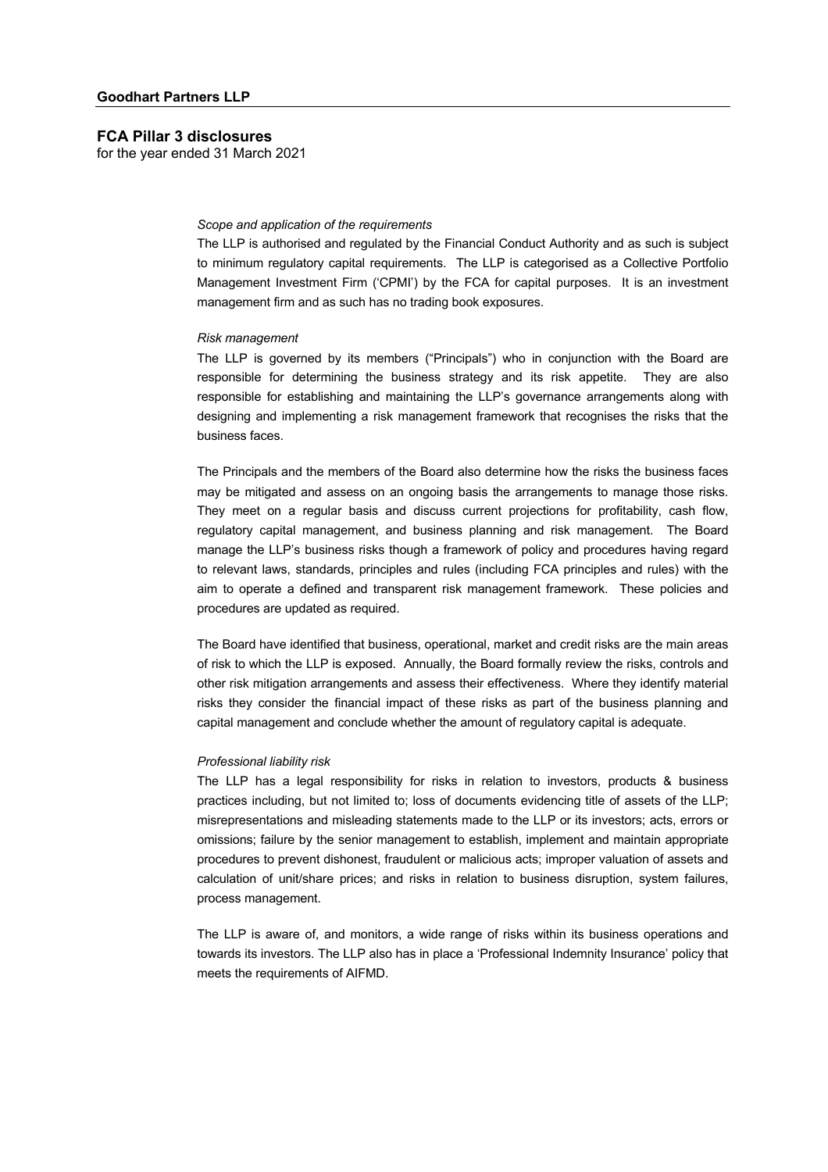for the year ended 31 March 2021

#### *Scope and application of the requirements*

The LLP is authorised and regulated by the Financial Conduct Authority and as such is subject to minimum regulatory capital requirements. The LLP is categorised as a Collective Portfolio Management Investment Firm ('CPMI') by the FCA for capital purposes. It is an investment management firm and as such has no trading book exposures.

#### *Risk management*

The LLP is governed by its members ("Principals") who in conjunction with the Board are responsible for determining the business strategy and its risk appetite. They are also responsible for establishing and maintaining the LLP's governance arrangements along with designing and implementing a risk management framework that recognises the risks that the business faces.

The Principals and the members of the Board also determine how the risks the business faces may be mitigated and assess on an ongoing basis the arrangements to manage those risks. They meet on a regular basis and discuss current projections for profitability, cash flow, regulatory capital management, and business planning and risk management. The Board manage the LLP's business risks though a framework of policy and procedures having regard to relevant laws, standards, principles and rules (including FCA principles and rules) with the aim to operate a defined and transparent risk management framework. These policies and procedures are updated as required.

The Board have identified that business, operational, market and credit risks are the main areas of risk to which the LLP is exposed. Annually, the Board formally review the risks, controls and other risk mitigation arrangements and assess their effectiveness. Where they identify material risks they consider the financial impact of these risks as part of the business planning and capital management and conclude whether the amount of regulatory capital is adequate.

#### *Professional liability risk*

The LLP has a legal responsibility for risks in relation to investors, products & business practices including, but not limited to; loss of documents evidencing title of assets of the LLP; misrepresentations and misleading statements made to the LLP or its investors; acts, errors or omissions; failure by the senior management to establish, implement and maintain appropriate procedures to prevent dishonest, fraudulent or malicious acts; improper valuation of assets and calculation of unit/share prices; and risks in relation to business disruption, system failures, process management.

The LLP is aware of, and monitors, a wide range of risks within its business operations and towards its investors. The LLP also has in place a 'Professional Indemnity Insurance' policy that meets the requirements of AIFMD.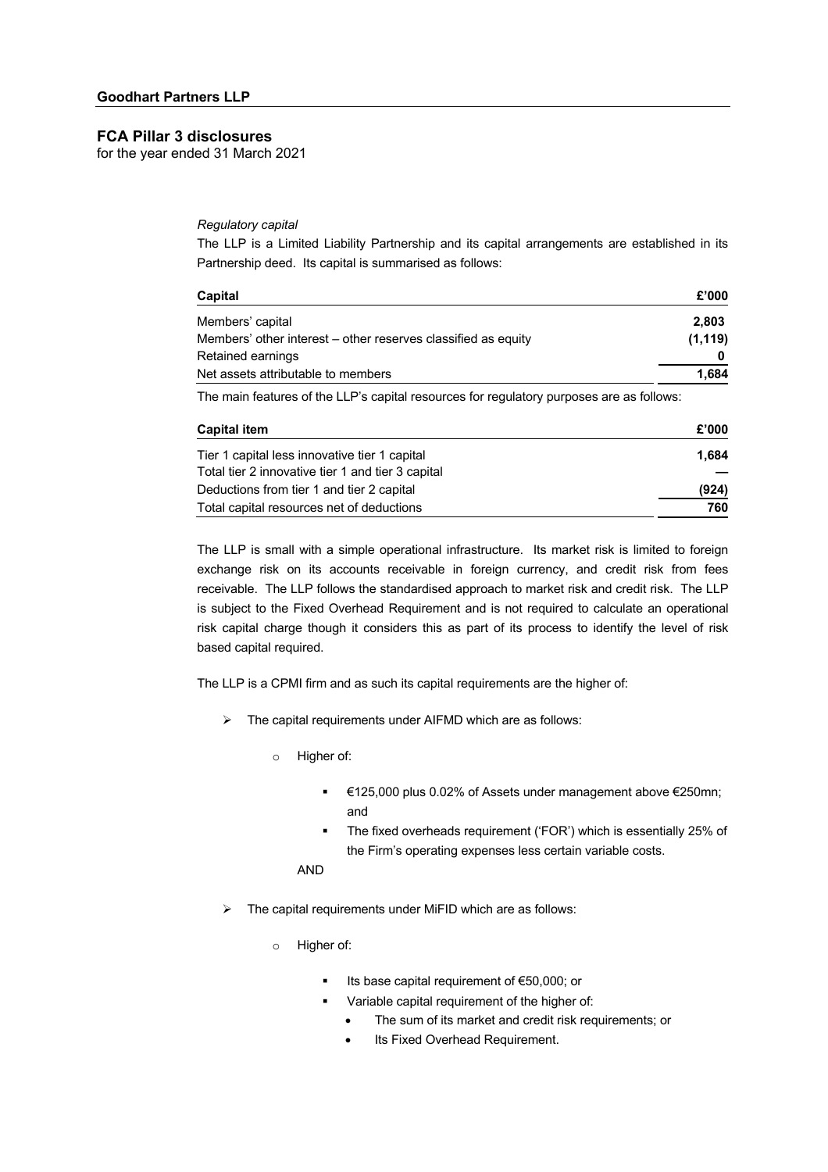for the year ended 31 March 2021

## *Regulatory capital*

The LLP is a Limited Liability Partnership and its capital arrangements are established in its Partnership deed. Its capital is summarised as follows:

| Capital                                                                                   | £'000    |
|-------------------------------------------------------------------------------------------|----------|
| Members' capital                                                                          | 2.803    |
| Members' other interest – other reserves classified as equity                             | (1, 119) |
| Retained earnings                                                                         |          |
| Net assets attributable to members                                                        | 1,684    |
| The main features of the LLP's capital resources for requisitory purposes are as follows: |          |

The main features of the LLP's capital resources for regulatory purposes are as follows:

| <b>Capital item</b>                               | £'000 |
|---------------------------------------------------|-------|
| Tier 1 capital less innovative tier 1 capital     | 1.684 |
| Total tier 2 innovative tier 1 and tier 3 capital |       |
| Deductions from tier 1 and tier 2 capital         | (924) |
| Total capital resources net of deductions         | 760   |

The LLP is small with a simple operational infrastructure. Its market risk is limited to foreign exchange risk on its accounts receivable in foreign currency, and credit risk from fees receivable. The LLP follows the standardised approach to market risk and credit risk. The LLP is subject to the Fixed Overhead Requirement and is not required to calculate an operational risk capital charge though it considers this as part of its process to identify the level of risk based capital required.

The LLP is a CPMI firm and as such its capital requirements are the higher of:

- $\triangleright$  The capital requirements under AIFMD which are as follows:
	- o Higher of:
		- § €125,000 plus 0.02% of Assets under management above €250mn; and
		- The fixed overheads requirement ('FOR') which is essentially 25% of the Firm's operating expenses less certain variable costs.

AND

- $\triangleright$  The capital requirements under MiFID which are as follows:
	- o Higher of:
		- Its base capital requirement of €50,000; or
		- Variable capital requirement of the higher of:
			- The sum of its market and credit risk requirements; or
			- Its Fixed Overhead Requirement.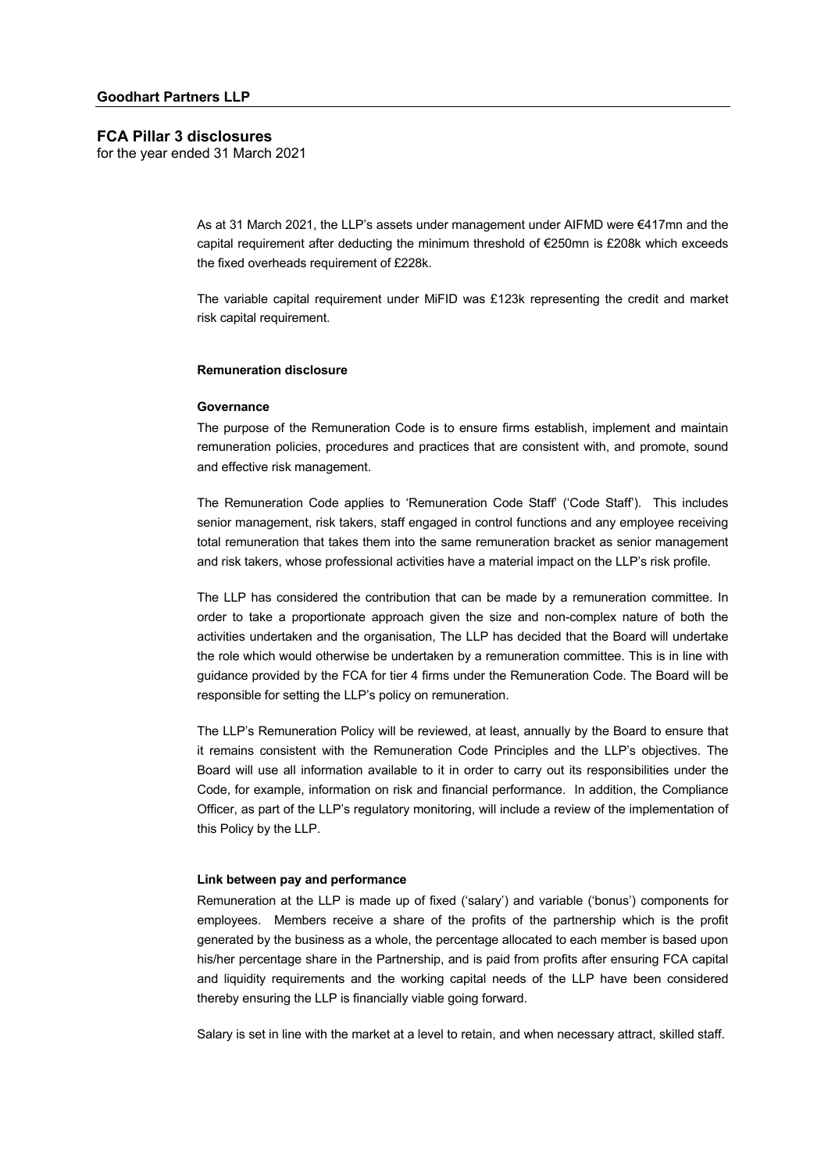for the year ended 31 March 2021

As at 31 March 2021, the LLP's assets under management under AIFMD were €417mn and the capital requirement after deducting the minimum threshold of €250mn is £208k which exceeds the fixed overheads requirement of £228k.

The variable capital requirement under MiFID was £123k representing the credit and market risk capital requirement.

#### **Remuneration disclosure**

#### **Governance**

The purpose of the Remuneration Code is to ensure firms establish, implement and maintain remuneration policies, procedures and practices that are consistent with, and promote, sound and effective risk management.

The Remuneration Code applies to 'Remuneration Code Staff' ('Code Staff'). This includes senior management, risk takers, staff engaged in control functions and any employee receiving total remuneration that takes them into the same remuneration bracket as senior management and risk takers, whose professional activities have a material impact on the LLP's risk profile.

The LLP has considered the contribution that can be made by a remuneration committee. In order to take a proportionate approach given the size and non-complex nature of both the activities undertaken and the organisation, The LLP has decided that the Board will undertake the role which would otherwise be undertaken by a remuneration committee. This is in line with guidance provided by the FCA for tier 4 firms under the Remuneration Code. The Board will be responsible for setting the LLP's policy on remuneration.

The LLP's Remuneration Policy will be reviewed, at least, annually by the Board to ensure that it remains consistent with the Remuneration Code Principles and the LLP's objectives. The Board will use all information available to it in order to carry out its responsibilities under the Code, for example, information on risk and financial performance. In addition, the Compliance Officer, as part of the LLP's regulatory monitoring, will include a review of the implementation of this Policy by the LLP.

#### **Link between pay and performance**

Remuneration at the LLP is made up of fixed ('salary') and variable ('bonus') components for employees. Members receive a share of the profits of the partnership which is the profit generated by the business as a whole, the percentage allocated to each member is based upon his/her percentage share in the Partnership, and is paid from profits after ensuring FCA capital and liquidity requirements and the working capital needs of the LLP have been considered thereby ensuring the LLP is financially viable going forward.

Salary is set in line with the market at a level to retain, and when necessary attract, skilled staff.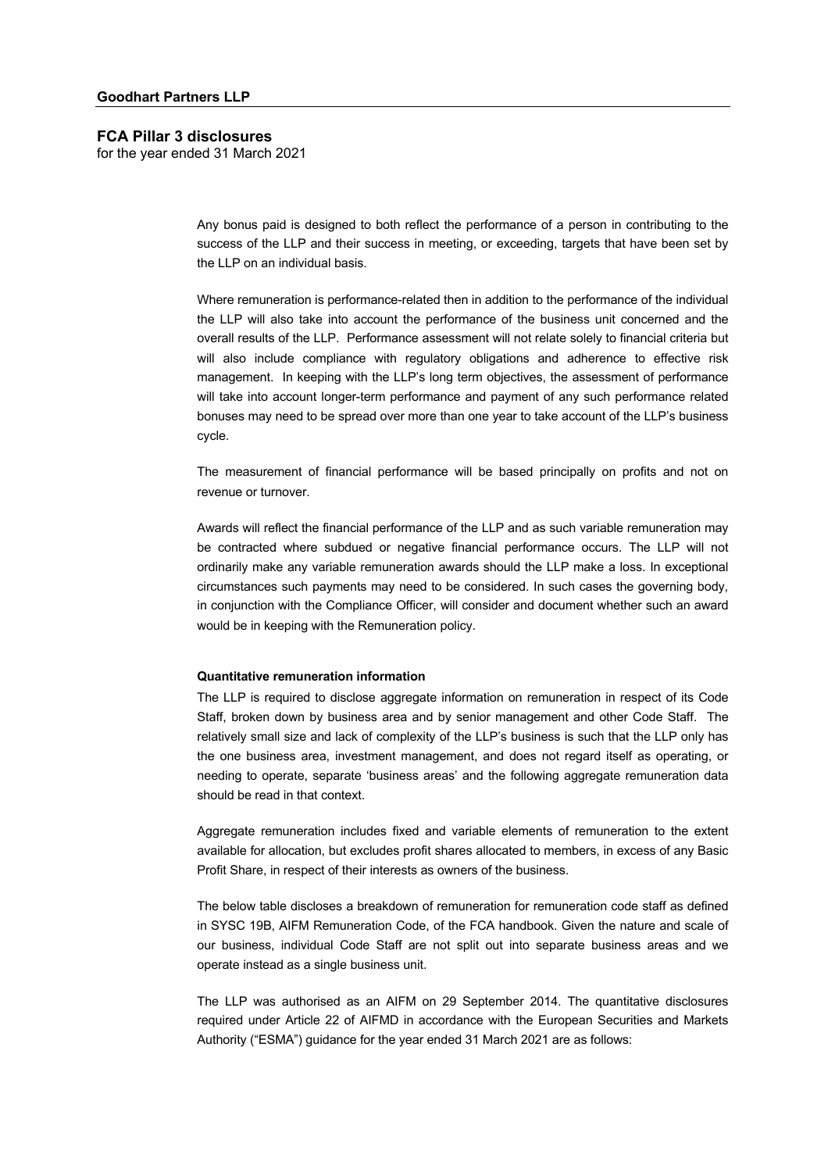for the year ended 31 March 2021

Any bonus paid is designed to both reflect the performance of a person in contributing to the success of the LLP and their success in meeting, or exceeding, targets that have been set by the LLP on an individual basis.

Where remuneration is performance-related then in addition to the performance of the individual the LLP will also take into account the performance of the business unit concerned and the overall results of the LLP. Performance assessment will not relate solely to financial criteria but will also include compliance with regulatory obligations and adherence to effective risk management. In keeping with the LLP's long term objectives, the assessment of performance will take into account longer-term performance and payment of any such performance related bonuses may need to be spread over more than one year to take account of the LLP's business cycle.

The measurement of financial performance will be based principally on profits and not on revenue or turnover.

Awards will reflect the financial performance of the LLP and as such variable remuneration may be contracted where subdued or negative financial performance occurs. The LLP will not ordinarily make any variable remuneration awards should the LLP make a loss. In exceptional circumstances such payments may need to be considered. In such cases the governing body, in conjunction with the Compliance Officer, will consider and document whether such an award would be in keeping with the Remuneration policy.

## **Quantitative remuneration information**

The LLP is required to disclose aggregate information on remuneration in respect of its Code Staff, broken down by business area and by senior management and other Code Staff. The relatively small size and lack of complexity of the LLP's business is such that the LLP only has the one business area, investment management, and does not regard itself as operating, or needing to operate, separate 'business areas' and the following aggregate remuneration data should be read in that context.

Aggregate remuneration includes fixed and variable elements of remuneration to the extent available for allocation, but excludes profit shares allocated to members, in excess of any Basic Profit Share, in respect of their interests as owners of the business.

The below table discloses a breakdown of remuneration for remuneration code staff as defined in SYSC 19B, AIFM Remuneration Code, of the FCA handbook. Given the nature and scale of our business, individual Code Staff are not split out into separate business areas and we operate instead as a single business unit.

The LLP was authorised as an AIFM on 29 September 2014. The quantitative disclosures required under Article 22 of AIFMD in accordance with the European Securities and Markets Authority ("ESMA") guidance for the year ended 31 March 2021 are as follows: